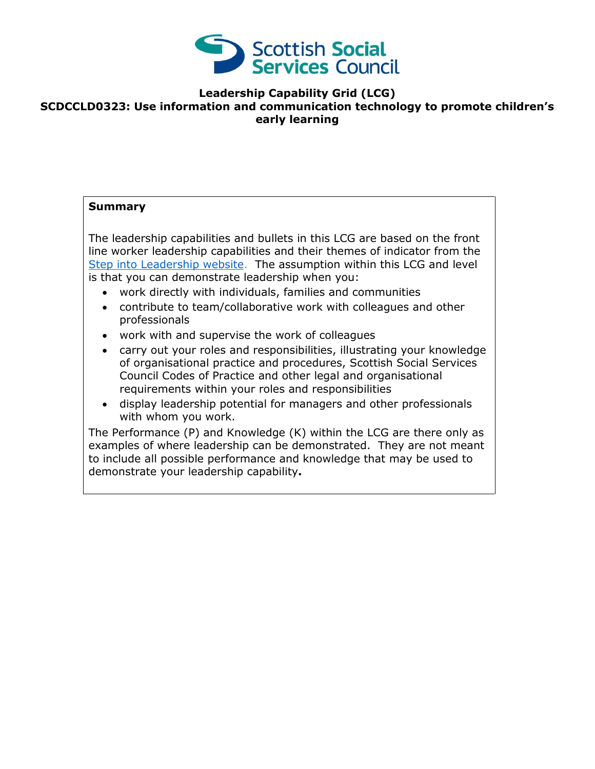

## **Leadership Capability Grid (LCG) SCDCCLD0323: Use information and communication technology to promote children's early learning**

## **Summary**

The leadership capabilities and bullets in this LCG are based on the front line worker leadership capabilities and their themes of indicator from the [Step into Leadership website.](http://www.stepintoleadership.info/) The assumption within this LCG and level is that you can demonstrate leadership when you:

- work directly with individuals, families and communities
- contribute to team/collaborative work with colleagues and other professionals
- work with and supervise the work of colleagues
- carry out your roles and responsibilities, illustrating your knowledge of organisational practice and procedures, Scottish Social Services Council Codes of Practice and other legal and organisational requirements within your roles and responsibilities
- display leadership potential for managers and other professionals with whom you work.

The Performance (P) and Knowledge (K) within the LCG are there only as examples of where leadership can be demonstrated. They are not meant to include all possible performance and knowledge that may be used to demonstrate your leadership capability**.**